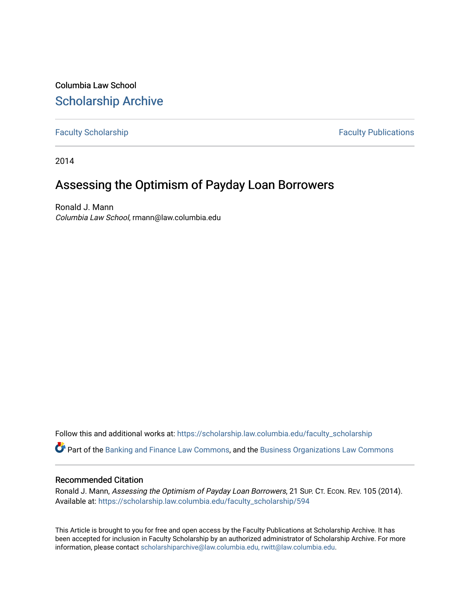Columbia Law School [Scholarship Archive](https://scholarship.law.columbia.edu/) 

[Faculty Scholarship](https://scholarship.law.columbia.edu/faculty_scholarship) **Faculty Scholarship Faculty Publications** 

2014

# Assessing the Optimism of Payday Loan Borrowers

Ronald J. Mann Columbia Law School, rmann@law.columbia.edu

Follow this and additional works at: [https://scholarship.law.columbia.edu/faculty\\_scholarship](https://scholarship.law.columbia.edu/faculty_scholarship?utm_source=scholarship.law.columbia.edu%2Ffaculty_scholarship%2F594&utm_medium=PDF&utm_campaign=PDFCoverPages)

Part of the [Banking and Finance Law Commons,](https://network.bepress.com/hgg/discipline/833?utm_source=scholarship.law.columbia.edu%2Ffaculty_scholarship%2F594&utm_medium=PDF&utm_campaign=PDFCoverPages) and the [Business Organizations Law Commons](https://network.bepress.com/hgg/discipline/900?utm_source=scholarship.law.columbia.edu%2Ffaculty_scholarship%2F594&utm_medium=PDF&utm_campaign=PDFCoverPages) 

# Recommended Citation

Ronald J. Mann, Assessing the Optimism of Payday Loan Borrowers, 21 Sup. CT. Econ. REV. 105 (2014). Available at: [https://scholarship.law.columbia.edu/faculty\\_scholarship/594](https://scholarship.law.columbia.edu/faculty_scholarship/594?utm_source=scholarship.law.columbia.edu%2Ffaculty_scholarship%2F594&utm_medium=PDF&utm_campaign=PDFCoverPages) 

This Article is brought to you for free and open access by the Faculty Publications at Scholarship Archive. It has been accepted for inclusion in Faculty Scholarship by an authorized administrator of Scholarship Archive. For more information, please contact [scholarshiparchive@law.columbia.edu, rwitt@law.columbia.edu](mailto:scholarshiparchive@law.columbia.edu,%20rwitt@law.columbia.edu).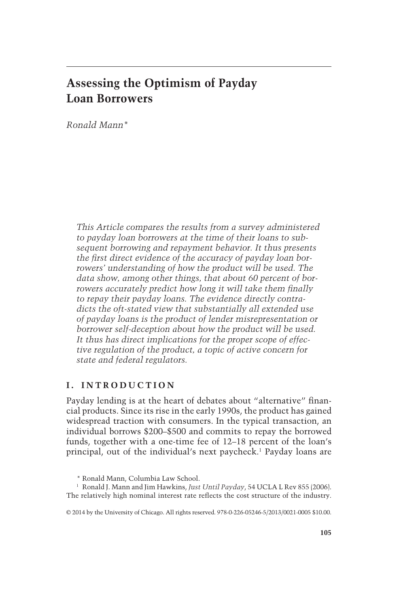*Ronald Mann\**

*This Article compares the results from a survey administered to payday loan borrowers at the time of their loans to subsequent borrowing and repayment behavior. It thus presents the first direct evidence of the accuracy of payday loan borrowers' understanding of how the product will be used. The data show, among other things, that about 60 percent of borrowers accurately predict how long it will take them finally to repay their payday loans. The evidence directly contradicts the oft-stated view that substantially all extended use of payday loans is the product of lender misrepresentation or borrower self-deception about how the product will be used. It thus has direct implications for the proper scope of effective regulation of the product, a topic of active concern for state and federal regulators.*

# **I . I N T R O D U C T I O N**

Payday lending is at the heart of debates about "alternative" financial products. Since its rise in the early 1990s, the product has gained widespread traction with consumers. In the typical transaction, an individual borrows \$200–\$500 and commits to repay the borrowed funds, together with a one-time fee of 12–18 percent of the loan's principal, out of the individual's next paycheck.1 Payday loans are

*\** Ronald Mann, Columbia Law School.

1 Ronald J. Mann and Jim Hawkins, *Just Until Payday*, 54 UCLA L Rev 855 (2006). The relatively high nominal interest rate reflects the cost structure of the industry.

© 2014 by the University of Chicago. All rights reserved. 978-0-226-05246-5/2013/0021-0005 \$10.00.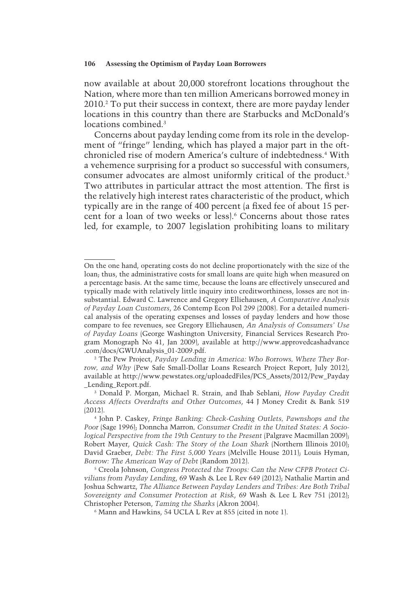now available at about 20,000 storefront locations throughout the Nation, where more than ten million Americans borrowed money in 2010.2 To put their success in context, there are more payday lender locations in this country than there are Starbucks and McDonald's locations combined.<sup>3</sup>

Concerns about payday lending come from its role in the development of "fringe" lending, which has played a major part in the oftchronicled rise of modern America's culture of indebtedness.4 With a vehemence surprising for a product so successful with consumers, consumer advocates are almost uniformly critical of the product.5 Two attributes in particular attract the most attention. The first is the relatively high interest rates characteristic of the product, which typically are in the range of 400 percent (a fixed fee of about 15 percent for a loan of two weeks or less).6 Concerns about those rates led, for example, to 2007 legislation prohibiting loans to military

On the one hand, operating costs do not decline proportionately with the size of the loan; thus, the administrative costs for small loans are quite high when measured on a percentage basis. At the same time, because the loans are effectively unsecured and typically made with relatively little inquiry into creditworthiness, losses are not insubstantial. Edward C. Lawrence and Gregory Elliehausen, *A Comparative Analysis of Payday Loan Customers*, 26 Contemp Econ Pol 299 (2008). For a detailed numerical analysis of the operating expenses and losses of payday lenders and how those compare to fee revenues, see Gregory Elliehausen, *An Analysis of Consumers' Use of Payday Loans* (George Washington University, Financial Services Research Program Monograph No 41, Jan 2009), available at http://www.approvedcashadvance .com/docs/GWUAnalysis\_01-2009.pdf.

<sup>2</sup> The Pew Project, *Payday Lending in America: Who Borrows, Where They Borrow, and Why* (Pew Safe Small-Dollar Loans Research Project Report, July 2012), available at http://www.pewstates.org/uploadedFiles/PCS\_Assets/2012/Pew\_Payday \_Lending\_Report.pdf.

<sup>3</sup> Donald P. Morgan, Michael R. Strain, and Ihab Seblani, *How Payday Credit Access Affects Overdrafts and Other Outcomes*, 44 J Money Credit & Bank 519 (2012).

<sup>4</sup> John P. Caskey, *Fringe Banking: Check-Cashing Outlets, Pawnshops and the Poor* (Sage 1996); Donncha Marron*, Consumer Credit in the United States: A Sociological Perspective from the 19th Century to the Present* (Palgrave Macmillan 2009); Robert Mayer, *Quick Cash: The Story of the Loan Shark* (Northern Illinois 2010); David Graeber, *Debt: The First 5,000 Years* (Melville House 2011); Louis Hyman, *Borrow: The American Way of Debt* (Random 2012).

<sup>5</sup> Creola Johnson, *Congress Protected the Troops: Can the New CFPB Protect Civilians from Payday Lending*, 69 Wash & Lee L Rev 649 (2012); Nathalie Martin and Joshua Schwartz, *The Alliance Between Payday Lenders and Tribes: Are Both Tribal Sovereignty and Consumer Protection at Risk*, 69 Wash & Lee L Rev 751 (2012); Christopher Peterson, *Taming the Sharks* (Akron 2004).

<sup>6</sup> Mann and Hawkins, 54 UCLA L Rev at 855 (cited in note 1).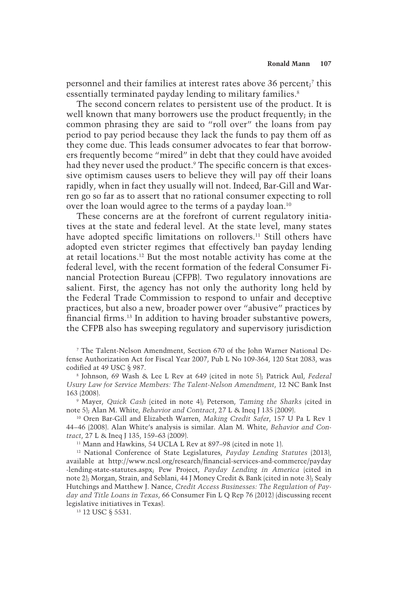personnel and their families at interest rates above 36 percent;<sup>7</sup> this essentially terminated payday lending to military families.<sup>8</sup>

The second concern relates to persistent use of the product. It is well known that many borrowers use the product frequently; in the common phrasing they are said to "roll over" the loans from pay period to pay period because they lack the funds to pay them off as they come due. This leads consumer advocates to fear that borrowers frequently become "mired" in debt that they could have avoided had they never used the product.<sup>9</sup> The specific concern is that excessive optimism causes users to believe they will pay off their loans rapidly, when in fact they usually will not. Indeed, Bar-Gill and Warren go so far as to assert that no rational consumer expecting to roll over the loan would agree to the terms of a payday loan.10

These concerns are at the forefront of current regulatory initiatives at the state and federal level. At the state level, many states have adopted specific limitations on rollovers.<sup>11</sup> Still others have adopted even stricter regimes that effectively ban payday lending at retail locations.12 But the most notable activity has come at the federal level, with the recent formation of the federal Consumer Financial Protection Bureau (CFPB). Two regulatory innovations are salient. First, the agency has not only the authority long held by the Federal Trade Commission to respond to unfair and deceptive practices, but also a new, broader power over "abusive" practices by financial firms.13 In addition to having broader substantive powers, the CFPB also has sweeping regulatory and supervisory jurisdiction

7 The Talent-Nelson Amendment, Section 670 of the John Warner National Defense Authorization Act for Fiscal Year 2007, Pub L No 109-364, 120 Stat 2083, was codified at 49 USC § 987.

8 Johnson, 69 Wash & Lee L Rev at 649 (cited in note 5); Patrick Aul, *Federal Usury Law for Service Members: The Talent-Nelson Amendment*, 12 NC Bank Inst 163 (2008).

9 Mayer, *Quick Cash* (cited in note 4); Peterson, *Taming the Sharks* (cited in note 5); Alan M. White, *Behavior and Contract*, 27 L & Ineq J 135 (2009).

10 Oren Bar-Gill and Elizabeth Warren, *Making Credit Safer*, 157 U Pa L Rev 1 44–46 (2008). Alan White's analysis is similar. Alan M. White, *Behavior and Contract*, 27 L & Ineq J 135, 159–63 (2009).

<sup>11</sup> Mann and Hawkins, 54 UCLA L Rev at 897-98 (cited in note 1).

12 National Conference of State Legislatures, *Payday Lending Statutes* (2013), available at http://www.ncsl.org/research/financial-services-and-commerce/payday -lending-state-statutes.aspx; Pew Project, *Payday Lending in America* (cited in note 2); Morgan, Strain, and Seblani, 44 J Money Credit & Bank (cited in note 3); Sealy Hutchings and Matthew J. Nance, *Credit Access Businesses: The Regulation of Payday and Title Loans in Texas*, 66 Consumer Fin L Q Rep 76 (2012) (discussing recent legislative initiatives in Texas).

13 12 USC § 5531.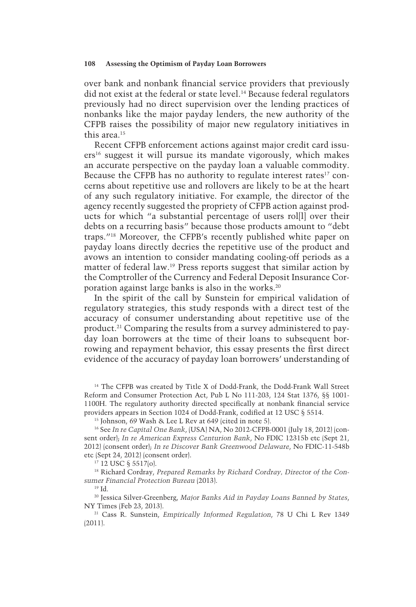over bank and nonbank financial service providers that previously did not exist at the federal or state level.<sup>14</sup> Because federal regulators previously had no direct supervision over the lending practices of nonbanks like the major payday lenders, the new authority of the CFPB raises the possibility of major new regulatory initiatives in this area.<sup>15</sup>

Recent CFPB enforcement actions against major credit card issuers16 suggest it will pursue its mandate vigorously, which makes an accurate perspective on the payday loan a valuable commodity. Because the CFPB has no authority to regulate interest rates<sup>17</sup> concerns about repetitive use and rollovers are likely to be at the heart of any such regulatory initiative. For example, the director of the agency recently suggested the propriety of CFPB action against products for which "a substantial percentage of users rol[l] over their debts on a recurring basis" because those products amount to "debt traps."18 Moreover, the CFPB's recently published white paper on payday loans directly decries the repetitive use of the product and avows an intention to consider mandating cooling-off periods as a matter of federal law.19 Press reports suggest that similar action by the Comptroller of the Currency and Federal Deposit Insurance Corporation against large banks is also in the works.20

In the spirit of the call by Sunstein for empirical validation of regulatory strategies, this study responds with a direct test of the accuracy of consumer understanding about repetitive use of the product.<sup>21</sup> Comparing the results from a survey administered to payday loan borrowers at the time of their loans to subsequent borrowing and repayment behavior, this essay presents the first direct evidence of the accuracy of payday loan borrowers' understanding of

<sup>14</sup> The CFPB was created by Title X of Dodd-Frank, the Dodd-Frank Wall Street Reform and Consumer Protection Act, Pub L No 111-203, 124 Stat 1376, §§ 1001- 1100H. The regulatory authority directed specifically at nonbank financial service providers appears in Section 1024 of Dodd-Frank, codified at 12 USC § 5514.

15 Johnson, 69 Wash & Lee L Rev at 649 (cited in note 5).

16 See *In re Capital One Bank*, (USA) NA, No 2012-CFPB-0001 (July 18, 2012) (consent order); *In re American Express Centurion Bank*, No FDIC 12315b etc (Sept 21, 2012) (consent order); *In re Discover Bank Greenwood Delaware*, No FDIC-11-548b etc (Sept 24, 2012) (consent order).

17 12 USC § 5517(o).

18 Richard Cordray, *Prepared Remarks by Richard Cordray, Director of the Consumer Financial Protection Bureau* (2013).

 $^{19}$  Id.

20 Jessica Silver-Greenberg, *Major Banks Aid in Payday Loans Banned by States*, NY Times (Feb 23, 2013).

21 Cass R. Sunstein, *Empirically Informed Regulation*, 78 U Chi L Rev 1349 (2011).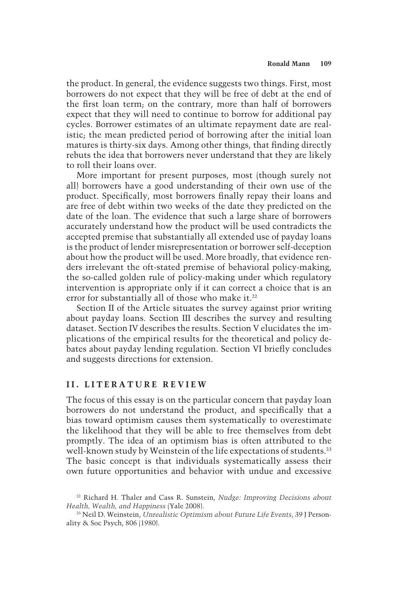the product. In general, the evidence suggests two things. First, most borrowers do not expect that they will be free of debt at the end of the first loan term; on the contrary, more than half of borrowers expect that they will need to continue to borrow for additional pay cycles. Borrower estimates of an ultimate repayment date are realistic; the mean predicted period of borrowing after the initial loan matures is thirty-six days. Among other things, that finding directly rebuts the idea that borrowers never understand that they are likely to roll their loans over.

More important for present purposes, most (though surely not all) borrowers have a good understanding of their own use of the product. Specifically, most borrowers finally repay their loans and are free of debt within two weeks of the date they predicted on the date of the loan. The evidence that such a large share of borrowers accurately understand how the product will be used contradicts the accepted premise that substantially all extended use of payday loans is the product of lender misrepresentation or borrower self-deception about how the product will be used. More broadly, that evidence renders irrelevant the oft-stated premise of behavioral policy-making, the so-called golden rule of policy-making under which regulatory intervention is appropriate only if it can correct a choice that is an error for substantially all of those who make it.<sup>22</sup>

Section II of the Article situates the survey against prior writing about payday loans. Section III describes the survey and resulting dataset. Section IV describes the results. Section V elucidates the implications of the empirical results for the theoretical and policy debates about payday lending regulation. Section VI briefly concludes and suggests directions for extension.

# **I I . L it e ratur e R e v i e w**

The focus of this essay is on the particular concern that payday loan borrowers do not understand the product, and specifically that a bias toward optimism causes them systematically to overestimate the likelihood that they will be able to free themselves from debt promptly. The idea of an optimism bias is often attributed to the well-known study by Weinstein of the life expectations of students.<sup>23</sup> The basic concept is that individuals systematically assess their own future opportunities and behavior with undue and excessive

<sup>22</sup> Richard H. Thaler and Cass R. Sunstein, *Nudge: Improving Decisions about Health, Wealth, and Happiness* (Yale 2008).

<sup>23</sup> Neil D. Weinstein, *Unrealistic Optimism about Future Life Events*, 39 J Personality & Soc Psych, 806 (1980).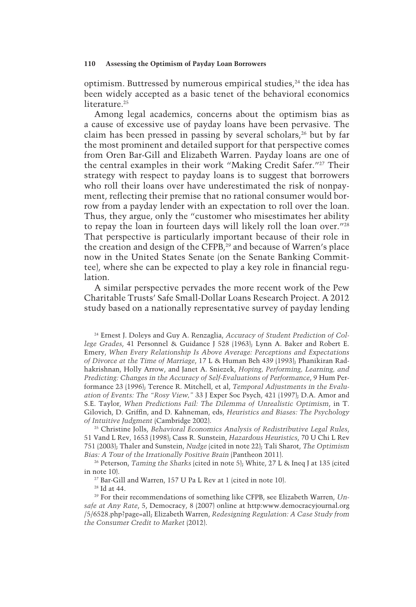optimism. Buttressed by numerous empirical studies, $24$  the idea has been widely accepted as a basic tenet of the behavioral economics literature.<sup>25</sup>

Among legal academics, concerns about the optimism bias as a cause of excessive use of payday loans have been pervasive. The claim has been pressed in passing by several scholars, $26$  but by far the most prominent and detailed support for that perspective comes from Oren Bar-Gill and Elizabeth Warren. Payday loans are one of the central examples in their work "Making Credit Safer."27 Their strategy with respect to payday loans is to suggest that borrowers who roll their loans over have underestimated the risk of nonpayment, reflecting their premise that no rational consumer would borrow from a payday lender with an expectation to roll over the loan. Thus, they argue, only the "customer who misestimates her ability to repay the loan in fourteen days will likely roll the loan over."28 That perspective is particularly important because of their role in the creation and design of the CFPB,<sup>29</sup> and because of Warren's place now in the United States Senate (on the Senate Banking Committee), where she can be expected to play a key role in financial regulation.

A similar perspective pervades the more recent work of the Pew Charitable Trusts' Safe Small-Dollar Loans Research Project. A 2012 study based on a nationally representative survey of payday lending

24 Ernest J. Doleys and Guy A. Renzaglia, *Accuracy of Student Prediction of College Grades*, 41 Personnel & Guidance J 528 (1963); Lynn A. Baker and Robert E. Emery, *When Every Relationship Is Above Average: Perceptions and Expectations of Divorce at the Time of Marriage*, 17 L & Human Beh 439 (1993); Phanikiran Radhakrishnan, Holly Arrow, and Janet A. Sniezek, *Hoping, Performing, Learning, and Predicting: Changes in the Accuracy of Self-Evaluations of Performance*, 9 Hum Performance 23 (1996); Terence R. Mitchell, et al, *Temporal Adjustments in the Evaluation of Events: The "Rosy View,"* 33 J Exper Soc Psych, 421 (1997); D.A. Amor and S.E. Taylor, *When Predictions Fail: The Dilemma of Unrealistic Optimism*, in T. Gilovich, D. Griffin, and D. Kahneman, eds, *Heuristics and Biases: The Psychology of Intuitive Judgment* (Cambridge 2002).

25 Christine Jolls, *Behavioral Economics Analysis of Redistributive Legal Rules*, 51 Vand L Rev, 1653 (1998); Cass R. Sunstein, *Hazardous Heuristics*, 70 U Chi L Rev 751 (2003); Thaler and Sunstein, *Nudge* (cited in note 22); Tali Sharot, *The Optimism Bias: A Tour of the Irrationally Positive Brain* (Pantheon 2011).

26 Peterson, *Taming the Sharks* (cited in note 5); White, 27 L & Ineq J at 135 (cited in note 10).

27 Bar-Gill and Warren, 157 U Pa L Rev at 1 (cited in note 10).

28 Id at 44.

29 For their recommendations of something like CFPB, see Elizabeth Warren, *Unsafe at Any Rate*, 5, Democracy, 8 (2007) online at http:www.democracyjournal.org /5/6528.php?page=all; Elizabeth Warren, *Redesigning Regulation: A Case Study from the Consumer Credit to Market* (2012).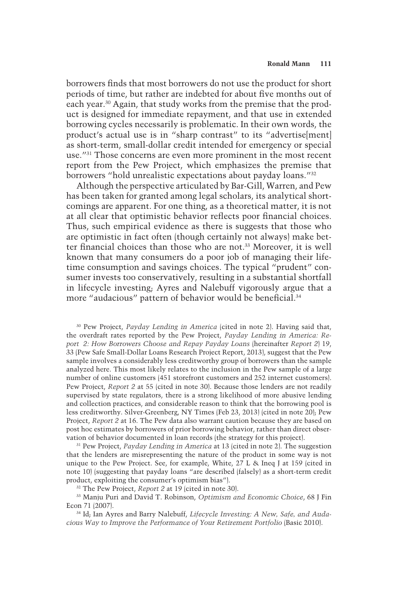borrowers finds that most borrowers do not use the product for short periods of time, but rather are indebted for about five months out of each year.<sup>30</sup> Again, that study works from the premise that the product is designed for immediate repayment, and that use in extended borrowing cycles necessarily is problematic. In their own words, the product's actual use is in "sharp contrast" to its "advertise[ment] as short-term, small-dollar credit intended for emergency or special use."31 Those concerns are even more prominent in the most recent report from the Pew Project, which emphasizes the premise that borrowers "hold unrealistic expectations about payday loans."32

Although the perspective articulated by Bar-Gill, Warren, and Pew has been taken for granted among legal scholars, its analytical shortcomings are apparent. For one thing, as a theoretical matter, it is not at all clear that optimistic behavior reflects poor financial choices. Thus, such empirical evidence as there is suggests that those who are optimistic in fact often (though certainly not always) make better financial choices than those who are not.33 Moreover, it is well known that many consumers do a poor job of managing their lifetime consumption and savings choices. The typical "prudent" consumer invests too conservatively, resulting in a substantial shortfall in lifecycle investing; Ayres and Nalebuff vigorously argue that a more "audacious" pattern of behavior would be beneficial.<sup>34</sup>

30 Pew Project, *Payday Lending in America* (cited in note 2). Having said that, the overdraft rates reported by the Pew Project, *Payday Lending in America: Report 2: How Borrowers Choose and Repay Payday Loans* (hereinafter *Report 2*) 19, 33 (Pew Safe Small-Dollar Loans Research Project Report, 2013), suggest that the Pew sample involves a considerably less creditworthy group of borrowers than the sample analyzed here. This most likely relates to the inclusion in the Pew sample of a large number of online customers (451 storefront customers and 252 internet customers). Pew Project, *Report 2* at 55 (cited in note 30). Because those lenders are not readily supervised by state regulators, there is a strong likelihood of more abusive lending and collection practices, and considerable reason to think that the borrowing pool is less creditworthy. Silver-Greenberg, NY Times (Feb 23, 2013) (cited in note 20); Pew Project, *Report 2* at 16. The Pew data also warrant caution because they are based on post hoc estimates by borrowers of prior borrowing behavior, rather than direct observation of behavior documented in loan records (the strategy for this project).

31 Pew Project, *Payday Lending in America* at 13 (cited in note 2). The suggestion that the lenders are misrepresenting the nature of the product in some way is not unique to the Pew Project. See, for example, White, 27 L & Ineq J at 159 (cited in note 10) (suggesting that payday loans "are described (falsely) as a short-term credit product, exploiting the consumer's optimism bias").

32 The Pew Project, *Report 2* at 19 (cited in note 30).

33 Manju Puri and David T. Robinson, *Optimism and Economic Choice*, 68 J Fin Econ 71 (2007).

34 Id; Ian Ayres and Barry Nalebuff, *Lifecycle Investing: A New, Safe, and Audacious Way to Improve the Performance of Your Retirement Portfolio* (Basic 2010).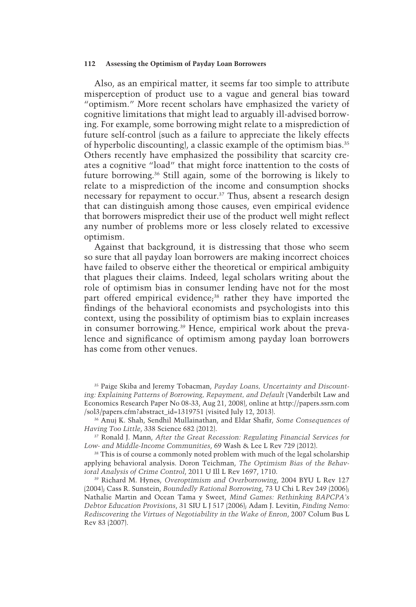Also, as an empirical matter, it seems far too simple to attribute misperception of product use to a vague and general bias toward "optimism." More recent scholars have emphasized the variety of cognitive limitations that might lead to arguably ill-advised borrowing. For example, some borrowing might relate to a misprediction of future self-control (such as a failure to appreciate the likely effects of hyperbolic discounting), a classic example of the optimism bias.35 Others recently have emphasized the possibility that scarcity creates a cognitive "load" that might force inattention to the costs of future borrowing.36 Still again, some of the borrowing is likely to relate to a misprediction of the income and consumption shocks necessary for repayment to occur.<sup>37</sup> Thus, absent a research design that can distinguish among those causes, even empirical evidence that borrowers mispredict their use of the product well might reflect any number of problems more or less closely related to excessive optimism.

Against that background, it is distressing that those who seem so sure that all payday loan borrowers are making incorrect choices have failed to observe either the theoretical or empirical ambiguity that plagues their claims. Indeed, legal scholars writing about the role of optimism bias in consumer lending have not for the most part offered empirical evidence;<sup>38</sup> rather they have imported the findings of the behavioral economists and psychologists into this context, using the possibility of optimism bias to explain increases in consumer borrowing.<sup>39</sup> Hence, empirical work about the prevalence and significance of optimism among payday loan borrowers has come from other venues.

<sup>35</sup> Paige Skiba and Jeremy Tobacman, *Payday Loans, Uncertainty and Discounting: Explaining Patterns of Borrowing, Repayment, and Default* (Vanderbilt Law and Economics Research Paper No 08-33, Aug 21, 2008), online at http://papers.ssrn.com /sol3/papers.cfm?abstract\_id=1319751 (visited July 12, 2013).

<sup>36</sup> Anuj K. Shah, Sendhil Mullainathan, and Eldar Shafir, *Some Consequences of Having Too Little*, 338 Science 682 (2012).

<sup>37</sup> Ronald J. Mann, *After the Great Recession: Regulating Financial Services for Low- and Middle-Income Communities*, 69 Wash & Lee L Rev 729 (2012).

<sup>38</sup> This is of course a commonly noted problem with much of the legal scholarship applying behavioral analysis. Doron Teichman, *The Optimism Bias of the Behavioral Analysis of Crime Control*, 2011 U Ill L Rev 1697, 1710.

<sup>39</sup> Richard M. Hynes, *Overoptimism and Overborrowing*, 2004 BYU L Rev 127 (2004); Cass R. Sunstein, *Boundedly Rational Borrowing*, 73 U Chi L Rev 249 (2006); Nathalie Martin and Ocean Tama y Sweet, *Mind Games: Rethinking BAPCPA's Debtor Education Provisions*, 31 SIU L J 517 (2006); Adam J. Levitin, *Finding Nemo: Rediscovering the Virtues of Negotiability in the Wake of Enron*, 2007 Colum Bus L Rev 83 (2007).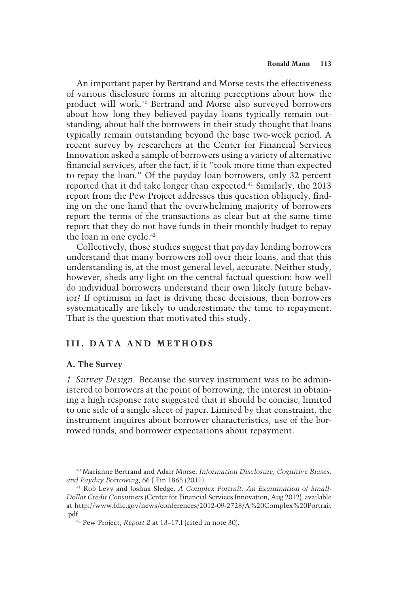An important paper by Bertrand and Morse tests the effectiveness of various disclosure forms in altering perceptions about how the product will work.40 Bertrand and Morse also surveyed borrowers about how long they believed payday loans typically remain outstanding; about half the borrowers in their study thought that loans typically remain outstanding beyond the base two-week period. A recent survey by researchers at the Center for Financial Services Innovation asked a sample of borrowers using a variety of alternative financial services, after the fact, if it "took more time than expected to repay the loan." Of the payday loan borrowers, only 32 percent reported that it did take longer than expected.<sup>41</sup> Similarly, the 2013 report from the Pew Project addresses this question obliquely, finding on the one hand that the overwhelming majority of borrowers report the terms of the transactions as clear but at the same time report that they do not have funds in their monthly budget to repay the loan in one cycle.42

Collectively, those studies suggest that payday lending borrowers understand that many borrowers roll over their loans, and that this understanding is, at the most general level, accurate. Neither study, however, sheds any light on the central factual question: how well do individual borrowers understand their own likely future behavior? If optimism in fact is driving these decisions, then borrowers systematically are likely to underestimate the time to repayment. That is the question that motivated this study.

# **III.** DATA AND METHODS

## **A. The Survey**

*1. Survey Design*. Because the survey instrument was to be administered to borrowers at the point of borrowing, the interest in obtaining a high response rate suggested that it should be concise, limited to one side of a single sheet of paper. Limited by that constraint, the instrument inquires about borrower characteristics, use of the borrowed funds, and borrower expectations about repayment.

40 Marianne Bertrand and Adair Morse, *Information Disclosure, Cognitive Biases, and Payday Borrowing*, 66 J Fin 1865 (2011).

41 Rob Levy and Joshua Sledge, *A Complex Portrait: An Examination of Small-Dollar Credit Consumers* (Center for Financial Services Innovation, Aug 2012), available at http://www.fdic.gov/news/conferences/2012-09-2728/A%20Complex%20Portrait .pdf.42 Pew Project, *Report 2* at 13–17.I (cited in note 30).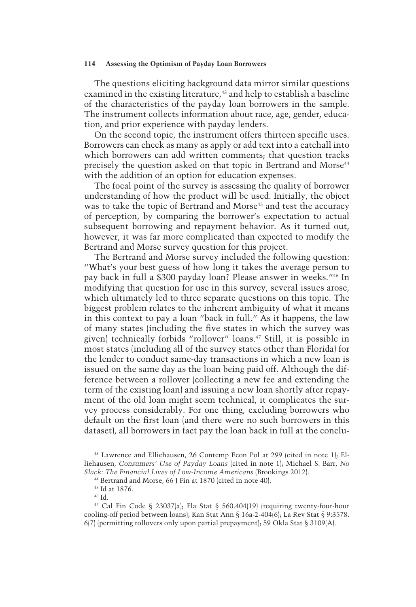The questions eliciting background data mirror similar questions examined in the existing literature,<sup>43</sup> and help to establish a baseline of the characteristics of the payday loan borrowers in the sample. The instrument collects information about race, age, gender, education, and prior experience with payday lenders.

On the second topic, the instrument offers thirteen specific uses. Borrowers can check as many as apply or add text into a catchall into which borrowers can add written comments; that question tracks precisely the question asked on that topic in Bertrand and Morse<sup>44</sup> with the addition of an option for education expenses.

The focal point of the survey is assessing the quality of borrower understanding of how the product will be used. Initially, the object was to take the topic of Bertrand and Morse<sup>45</sup> and test the accuracy of perception, by comparing the borrower's expectation to actual subsequent borrowing and repayment behavior. As it turned out, however, it was far more complicated than expected to modify the Bertrand and Morse survey question for this project.

The Bertrand and Morse survey included the following question: "What's your best guess of how long it takes the average person to pay back in full a \$300 payday loan? Please answer in weeks."46 In modifying that question for use in this survey, several issues arose, which ultimately led to three separate questions on this topic. The biggest problem relates to the inherent ambiguity of what it means in this context to pay a loan "back in full." As it happens, the law of many states (including the five states in which the survey was given) technically forbids "rollover" loans.47 Still, it is possible in most states (including all of the survey states other than Florida) for the lender to conduct same-day transactions in which a new loan is issued on the same day as the loan being paid off. Although the difference between a rollover (collecting a new fee and extending the term of the existing loan) and issuing a new loan shortly after repayment of the old loan might seem technical, it complicates the survey process considerably. For one thing, excluding borrowers who default on the first loan (and there were no such borrowers in this dataset), all borrowers in fact pay the loan back in full at the conclu-

<sup>43</sup> Lawrence and Elliehausen, 26 Contemp Econ Pol at 299 (cited in note 1); Elliehausen, *Consumers' Use of Payday Loans* (cited in note 1); Michael S. Barr, *No Slack: The Financial Lives of Low-Income Americans* (Brookings 2012). 44 Bertrand and Morse, 66 J Fin at 1870 (cited in note 40).

<sup>45</sup> Id at 1876.

<sup>46</sup> Id.

<sup>&</sup>lt;sup>47</sup> Cal Fin Code § 23037(a); Fla Stat § 560.404(19) (requiring twenty-four-hour cooling-off period between loans); Kan Stat Ann § 16a-2-404(6); La Rev Stat § 9:3578. 6(7) (permitting rollovers only upon partial prepayment); 59 Okla Stat § 3109(A).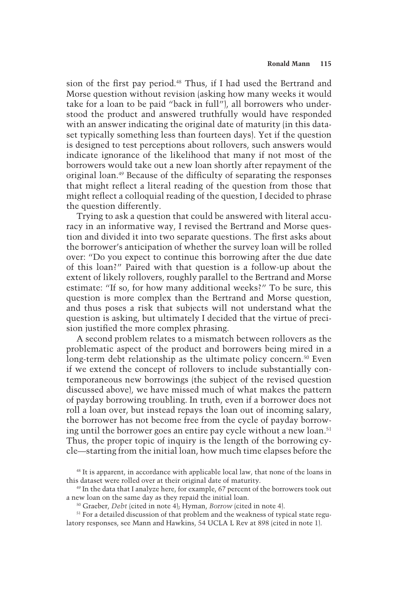sion of the first pay period.<sup>48</sup> Thus, if I had used the Bertrand and Morse question without revision (asking how many weeks it would take for a loan to be paid "back in full"), all borrowers who understood the product and answered truthfully would have responded with an answer indicating the original date of maturity (in this dataset typically something less than fourteen days). Yet if the question is designed to test perceptions about rollovers, such answers would indicate ignorance of the likelihood that many if not most of the borrowers would take out a new loan shortly after repayment of the original loan.49 Because of the difficulty of separating the responses that might reflect a literal reading of the question from those that might reflect a colloquial reading of the question, I decided to phrase the question differently.

Trying to ask a question that could be answered with literal accuracy in an informative way, I revised the Bertrand and Morse question and divided it into two separate questions. The first asks about the borrower's anticipation of whether the survey loan will be rolled over: "Do you expect to continue this borrowing after the due date of this loan?" Paired with that question is a follow-up about the extent of likely rollovers, roughly parallel to the Bertrand and Morse estimate: "If so, for how many additional weeks?" To be sure, this question is more complex than the Bertrand and Morse question, and thus poses a risk that subjects will not understand what the question is asking, but ultimately I decided that the virtue of precision justified the more complex phrasing.

A second problem relates to a mismatch between rollovers as the problematic aspect of the product and borrowers being mired in a long-term debt relationship as the ultimate policy concern.<sup>50</sup> Even if we extend the concept of rollovers to include substantially contemporaneous new borrowings (the subject of the revised question discussed above), we have missed much of what makes the pattern of payday borrowing troubling. In truth, even if a borrower does not roll a loan over, but instead repays the loan out of incoming salary, the borrower has not become free from the cycle of payday borrowing until the borrower goes an entire pay cycle without a new loan.<sup>51</sup> Thus, the proper topic of inquiry is the length of the borrowing cycle—starting from the initial loan, how much time elapses before the

<sup>48</sup> It is apparent, in accordance with applicable local law, that none of the loans in this dataset were rolled over at their original date of maturity. 49 In the data that I analyze here, for example, 67 percent of the borrowers took out

a new loan on the same day as they repaid the initial loan.

<sup>50</sup> Graeber, *Debt* (cited in note 4); Hyman, *Borrow* (cited in note 4).

<sup>51</sup> For a detailed discussion of that problem and the weakness of typical state regulatory responses, see Mann and Hawkins, 54 UCLA L Rev at 898 (cited in note 1).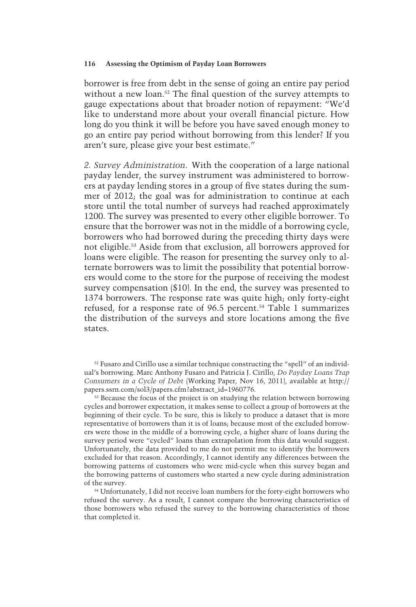borrower is free from debt in the sense of going an entire pay period without a new loan.<sup>52</sup> The final question of the survey attempts to gauge expectations about that broader notion of repayment: "We'd like to understand more about your overall financial picture. How long do you think it will be before you have saved enough money to go an entire pay period without borrowing from this lender? If you aren't sure, please give your best estimate."

*2. Survey Administration*. With the cooperation of a large national payday lender, the survey instrument was administered to borrowers at payday lending stores in a group of five states during the summer of 2012; the goal was for administration to continue at each store until the total number of surveys had reached approximately 1200. The survey was presented to every other eligible borrower. To ensure that the borrower was not in the middle of a borrowing cycle, borrowers who had borrowed during the preceding thirty days were not eligible.53 Aside from that exclusion, all borrowers approved for loans were eligible. The reason for presenting the survey only to alternate borrowers was to limit the possibility that potential borrowers would come to the store for the purpose of receiving the modest survey compensation (\$10). In the end, the survey was presented to 1374 borrowers. The response rate was quite high; only forty-eight refused, for a response rate of 96.5 percent.<sup>54</sup> Table 1 summarizes the distribution of the surveys and store locations among the five states.

 $52$  Fusaro and Cirillo use a similar technique constructing the "spell" of an individual's borrowing. Marc Anthony Fusaro and Patricia J. Cirillo, *Do Payday Loans Trap Consumers in a Cycle of Debt* (Working Paper, Nov 16, 2011), available at http:// papers.ssrn.com/sol3/papers.cfm?abstract\_id=1960776.

<sup>53</sup> Because the focus of the project is on studying the relation between borrowing cycles and borrower expectation, it makes sense to collect a group of borrowers at the beginning of their cycle. To be sure, this is likely to produce a dataset that is more representative of borrowers than it is of loans; because most of the excluded borrowers were those in the middle of a borrowing cycle, a higher share of loans during the survey period were "cycled" loans than extrapolation from this data would suggest. Unfortunately, the data provided to me do not permit me to identify the borrowers excluded for that reason. Accordingly, I cannot identify any differences between the borrowing patterns of customers who were mid-cycle when this survey began and the borrowing patterns of customers who started a new cycle during administration of the survey.

54 Unfortunately, I did not receive loan numbers for the forty-eight borrowers who refused the survey. As a result, I cannot compare the borrowing characteristics of those borrowers who refused the survey to the borrowing characteristics of those that completed it.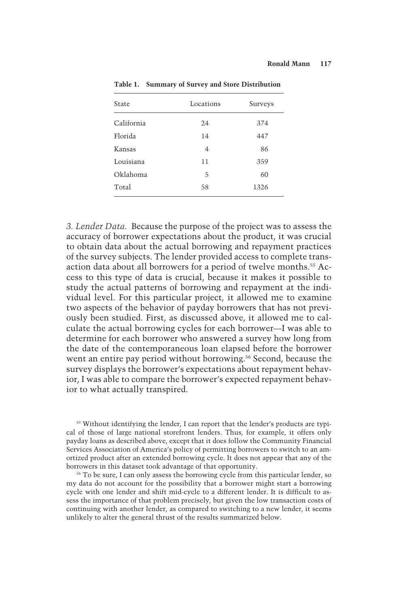| State      | Locations | Surveys |
|------------|-----------|---------|
| California | 24        | 374     |
| Florida    | 14        | 447     |
| Kansas     | 4         | 86      |
| Louisiana  | 11        | 359     |
| Oklahoma   | 5         | 60      |
| Total      | 58        | 1326    |

**Table 1. Summary of Survey and Store Distribution**

*3. Lender Data*. Because the purpose of the project was to assess the accuracy of borrower expectations about the product, it was crucial to obtain data about the actual borrowing and repayment practices of the survey subjects. The lender provided access to complete transaction data about all borrowers for a period of twelve months.55 Access to this type of data is crucial, because it makes it possible to study the actual patterns of borrowing and repayment at the individual level. For this particular project, it allowed me to examine two aspects of the behavior of payday borrowers that has not previously been studied. First, as discussed above, it allowed me to calculate the actual borrowing cycles for each borrower—I was able to determine for each borrower who answered a survey how long from the date of the contemporaneous loan elapsed before the borrower went an entire pay period without borrowing.<sup>56</sup> Second, because the survey displays the borrower's expectations about repayment behavior, I was able to compare the borrower's expected repayment behavior to what actually transpired.

55 Without identifying the lender, I can report that the lender's products are typical of those of large national storefront lenders. Thus, for example, it offers only payday loans as described above, except that it does follow the Community Financial Services Association of America's policy of permitting borrowers to switch to an amortized product after an extended borrowing cycle. It does not appear that any of the borrowers in this dataset took advantage of that opportunity.

56 To be sure, I can only assess the borrowing cycle from this particular lender, so my data do not account for the possibility that a borrower might start a borrowing cycle with one lender and shift mid-cycle to a different lender. It is difficult to assess the importance of that problem precisely, but given the low transaction costs of continuing with another lender, as compared to switching to a new lender, it seems unlikely to alter the general thrust of the results summarized below.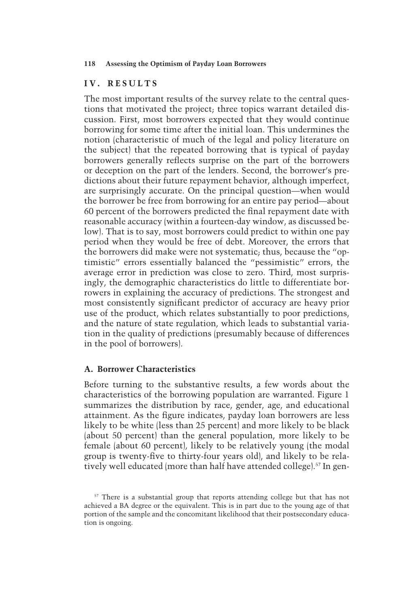## **I V . R e s ult s**

The most important results of the survey relate to the central questions that motivated the project; three topics warrant detailed discussion. First, most borrowers expected that they would continue borrowing for some time after the initial loan. This undermines the notion (characteristic of much of the legal and policy literature on the subject) that the repeated borrowing that is typical of payday borrowers generally reflects surprise on the part of the borrowers or deception on the part of the lenders. Second, the borrower's predictions about their future repayment behavior, although imperfect, are surprisingly accurate. On the principal question—when would the borrower be free from borrowing for an entire pay period—about 60 percent of the borrowers predicted the final repayment date with reasonable accuracy (within a fourteen-day window, as discussed below). That is to say, most borrowers could predict to within one pay period when they would be free of debt. Moreover, the errors that the borrowers did make were not systematic; thus, because the "optimistic" errors essentially balanced the "pessimistic" errors, the average error in prediction was close to zero. Third, most surprisingly, the demographic characteristics do little to differentiate borrowers in explaining the accuracy of predictions. The strongest and most consistently significant predictor of accuracy are heavy prior use of the product, which relates substantially to poor predictions, and the nature of state regulation, which leads to substantial variation in the quality of predictions (presumably because of differences in the pool of borrowers).

## **A. Borrower Characteristics**

Before turning to the substantive results, a few words about the characteristics of the borrowing population are warranted. Figure 1 summarizes the distribution by race, gender, age, and educational attainment. As the figure indicates, payday loan borrowers are less likely to be white (less than 25 percent) and more likely to be black (about 50 percent) than the general population, more likely to be female (about 60 percent), likely to be relatively young (the modal group is twenty-five to thirty-four years old), and likely to be relatively well educated (more than half have attended college).<sup>57</sup> In gen-

<sup>57</sup> There is a substantial group that reports attending college but that has not achieved a BA degree or the equivalent. This is in part due to the young age of that portion of the sample and the concomitant likelihood that their postsecondary education is ongoing.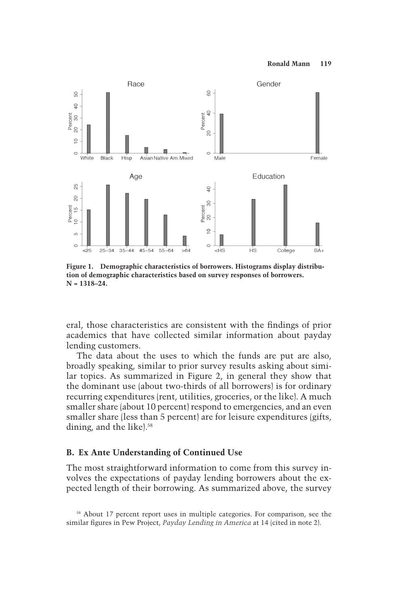

**Figure 1. Demographic characteristics of borrowers. Histograms display distribution of demographic characteristics based on survey responses of borrowers. N = 1318–24.**

eral, those characteristics are consistent with the findings of prior academics that have collected similar information about payday lending customers.

The data about the uses to which the funds are put are also, broadly speaking, similar to prior survey results asking about similar topics. As summarized in Figure 2, in general they show that the dominant use (about two-thirds of all borrowers) is for ordinary recurring expenditures (rent, utilities, groceries, or the like). A much smaller share (about 10 percent) respond to emergencies, and an even smaller share (less than 5 percent) are for leisure expenditures (gifts, dining, and the like).<sup>58</sup>

## **B. Ex Ante Understanding of Continued Use**

The most straightforward information to come from this survey involves the expectations of payday lending borrowers about the expected length of their borrowing. As summarized above, the survey

<sup>58</sup> About 17 percent report uses in multiple categories. For comparison, see the similar figures in Pew Project, *Payday Lending in America* at 14 (cited in note 2).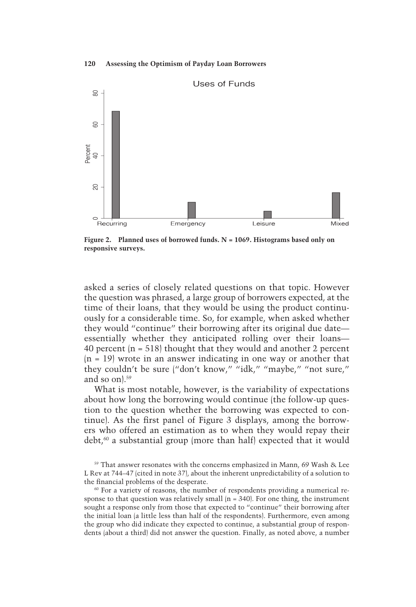**120 Assessing the Optimism of Payday Loan Borrowers**



**Figure 2. Planned uses of borrowed funds. N = 1069. Histograms based only on responsive surveys.**

asked a series of closely related questions on that topic. However the question was phrased, a large group of borrowers expected, at the time of their loans, that they would be using the product continuously for a considerable time. So, for example, when asked whether they would "continue" their borrowing after its original due date essentially whether they anticipated rolling over their loans— 40 percent (n = 518) thought that they would and another 2 percent  $(n = 19)$  wrote in an answer indicating in one way or another that they couldn't be sure ("don't know," "idk," "maybe," "not sure," and so on).59

What is most notable, however, is the variability of expectations about how long the borrowing would continue (the follow-up question to the question whether the borrowing was expected to continue). As the first panel of Figure 3 displays, among the borrowers who offered an estimation as to when they would repay their  $debt<sub>0</sub>$ <sup>60</sup> a substantial group (more than half) expected that it would

60 For a variety of reasons, the number of respondents providing a numerical response to that question was relatively small  $(n = 340)$ . For one thing, the instrument sought a response only from those that expected to "continue" their borrowing after the initial loan (a little less than half of the respondents). Furthermore, even among the group who did indicate they expected to continue, a substantial group of respondents (about a third) did not answer the question. Finally, as noted above, a number

<sup>59</sup> That answer resonates with the concerns emphasized in Mann, 69 Wash & Lee L Rev at 744–47 (cited in note 37), about the inherent unpredictability of a solution to the financial problems of the desperate.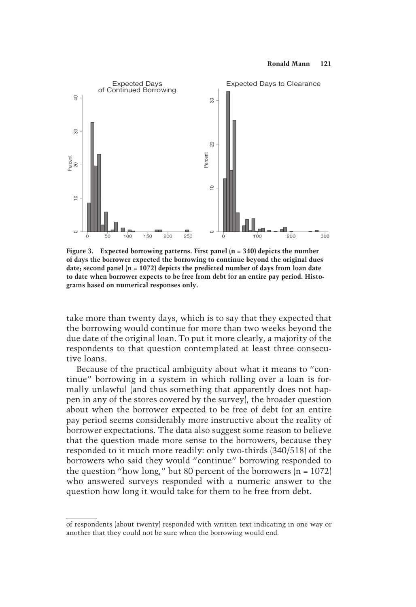

**Figure 3. Expected borrowing patterns. First panel (n = 340) depicts the number of days the borrower expected the borrowing to continue beyond the original dues date; second panel (n = 1072) depicts the predicted number of days from loan date to date when borrower expects to be free from debt for an entire pay period. Histograms based on numerical responses only.**

take more than twenty days, which is to say that they expected that the borrowing would continue for more than two weeks beyond the due date of the original loan. To put it more clearly, a majority of the respondents to that question contemplated at least three consecutive loans.

Because of the practical ambiguity about what it means to "continue" borrowing in a system in which rolling over a loan is formally unlawful (and thus something that apparently does not happen in any of the stores covered by the survey), the broader question about when the borrower expected to be free of debt for an entire pay period seems considerably more instructive about the reality of borrower expectations. The data also suggest some reason to believe that the question made more sense to the borrowers, because they responded to it much more readily: only two-thirds (340/518) of the borrowers who said they would "continue" borrowing responded to the question "how long," but 80 percent of the borrowers  $(n = 1072)$ who answered surveys responded with a numeric answer to the question how long it would take for them to be free from debt.

of respondents (about twenty) responded with written text indicating in one way or another that they could not be sure when the borrowing would end.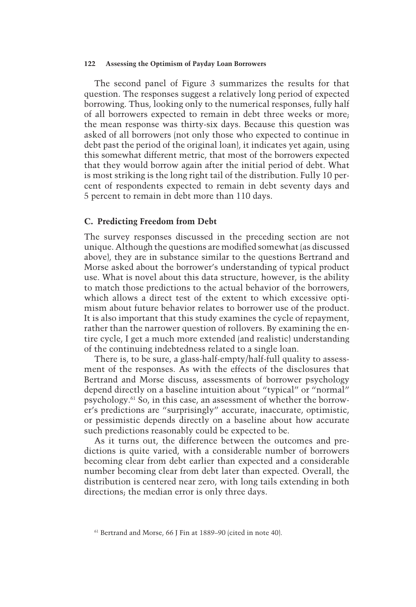The second panel of Figure 3 summarizes the results for that question. The responses suggest a relatively long period of expected borrowing. Thus, looking only to the numerical responses, fully half of all borrowers expected to remain in debt three weeks or more; the mean response was thirty-six days. Because this question was asked of all borrowers (not only those who expected to continue in debt past the period of the original loan), it indicates yet again, using this somewhat different metric, that most of the borrowers expected that they would borrow again after the initial period of debt. What is most striking is the long right tail of the distribution. Fully 10 percent of respondents expected to remain in debt seventy days and 5 percent to remain in debt more than 110 days.

## **C. Predicting Freedom from Debt**

The survey responses discussed in the preceding section are not unique. Although the questions are modified somewhat (as discussed above), they are in substance similar to the questions Bertrand and Morse asked about the borrower's understanding of typical product use. What is novel about this data structure, however, is the ability to match those predictions to the actual behavior of the borrowers, which allows a direct test of the extent to which excessive optimism about future behavior relates to borrower use of the product. It is also important that this study examines the cycle of repayment, rather than the narrower question of rollovers. By examining the entire cycle, I get a much more extended (and realistic) understanding of the continuing indebtedness related to a single loan.

There is, to be sure, a glass-half-empty/half-full quality to assessment of the responses. As with the effects of the disclosures that Bertrand and Morse discuss, assessments of borrower psychology depend directly on a baseline intuition about "typical" or "normal" psychology.61 So, in this case, an assessment of whether the borrower's predictions are "surprisingly" accurate, inaccurate, optimistic, or pessimistic depends directly on a baseline about how accurate such predictions reasonably could be expected to be.

As it turns out, the difference between the outcomes and predictions is quite varied, with a considerable number of borrowers becoming clear from debt earlier than expected and a considerable number becoming clear from debt later than expected. Overall, the distribution is centered near zero, with long tails extending in both directions; the median error is only three days.

<sup>61</sup> Bertrand and Morse, 66 J Fin at 1889–90 (cited in note 40).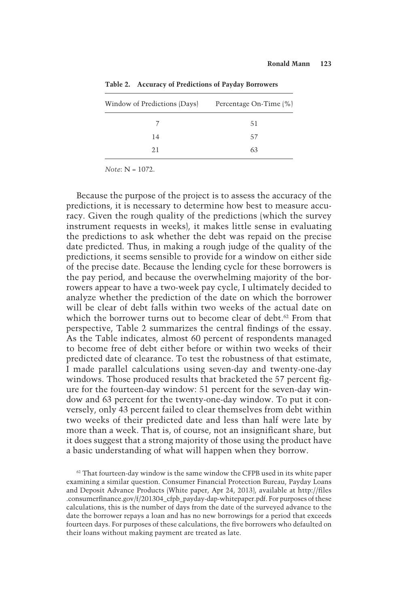| Window of Predictions (Days) | Percentage On-Time (%) |
|------------------------------|------------------------|
|                              | 51                     |
| 14                           | 57                     |
| 2.1                          | 63                     |
|                              |                        |

**Table 2. Accuracy of Predictions of Payday Borrowers** 

*Note*: N = 1072.

Because the purpose of the project is to assess the accuracy of the predictions, it is necessary to determine how best to measure accuracy. Given the rough quality of the predictions (which the survey instrument requests in weeks), it makes little sense in evaluating the predictions to ask whether the debt was repaid on the precise date predicted. Thus, in making a rough judge of the quality of the predictions, it seems sensible to provide for a window on either side of the precise date. Because the lending cycle for these borrowers is the pay period, and because the overwhelming majority of the borrowers appear to have a two-week pay cycle, I ultimately decided to analyze whether the prediction of the date on which the borrower will be clear of debt falls within two weeks of the actual date on which the borrower turns out to become clear of debt.<sup>62</sup> From that perspective, Table 2 summarizes the central findings of the essay. As the Table indicates, almost 60 percent of respondents managed to become free of debt either before or within two weeks of their predicted date of clearance. To test the robustness of that estimate, I made parallel calculations using seven-day and twenty-one-day windows. Those produced results that bracketed the 57 percent figure for the fourteen-day window: 51 percent for the seven-day window and 63 percent for the twenty-one-day window. To put it conversely, only 43 percent failed to clear themselves from debt within two weeks of their predicted date and less than half were late by more than a week. That is, of course, not an insignificant share, but it does suggest that a strong majority of those using the product have a basic understanding of what will happen when they borrow.

 $62$  That fourteen-day window is the same window the CFPB used in its white paper examining a similar question. Consumer Financial Protection Bureau, Payday Loans and Deposit Advance Products (White paper, Apr 24, 2013), available at http://files .consumerfinance.gov/f/201304\_cfpb\_payday-dap-whitepaper.pdf. For purposes of these calculations, this is the number of days from the date of the surveyed advance to the date the borrower repays a loan and has no new borrowings for a period that exceeds fourteen days. For purposes of these calculations, the five borrowers who defaulted on their loans without making payment are treated as late.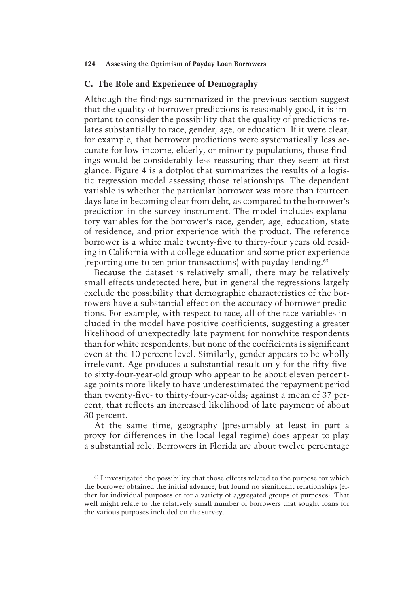## **C. The Role and Experience of Demography**

Although the findings summarized in the previous section suggest that the quality of borrower predictions is reasonably good, it is important to consider the possibility that the quality of predictions relates substantially to race, gender, age, or education. If it were clear, for example, that borrower predictions were systematically less accurate for low-income, elderly, or minority populations, those findings would be considerably less reassuring than they seem at first glance. Figure 4 is a dotplot that summarizes the results of a logistic regression model assessing those relationships. The dependent variable is whether the particular borrower was more than fourteen days late in becoming clear from debt, as compared to the borrower's prediction in the survey instrument. The model includes explanatory variables for the borrower's race, gender, age, education, state of residence, and prior experience with the product. The reference borrower is a white male twenty-five to thirty-four years old residing in California with a college education and some prior experience (reporting one to ten prior transactions) with payday lending.63

Because the dataset is relatively small, there may be relatively small effects undetected here, but in general the regressions largely exclude the possibility that demographic characteristics of the borrowers have a substantial effect on the accuracy of borrower predictions. For example, with respect to race, all of the race variables included in the model have positive coefficients, suggesting a greater likelihood of unexpectedly late payment for nonwhite respondents than for white respondents, but none of the coefficients is significant even at the 10 percent level. Similarly, gender appears to be wholly irrelevant. Age produces a substantial result only for the fifty-fiveto sixty-four-year-old group who appear to be about eleven percentage points more likely to have underestimated the repayment period than twenty-five- to thirty-four-year-olds; against a mean of 37 percent, that reflects an increased likelihood of late payment of about 30 percent.

At the same time, geography (presumably at least in part a proxy for differences in the local legal regime) does appear to play a substantial role. Borrowers in Florida are about twelve percentage

<sup>&</sup>lt;sup>63</sup> I investigated the possibility that those effects related to the purpose for which the borrower obtained the initial advance, but found no significant relationships (either for individual purposes or for a variety of aggregated groups of purposes). That well might relate to the relatively small number of borrowers that sought loans for the various purposes included on the survey.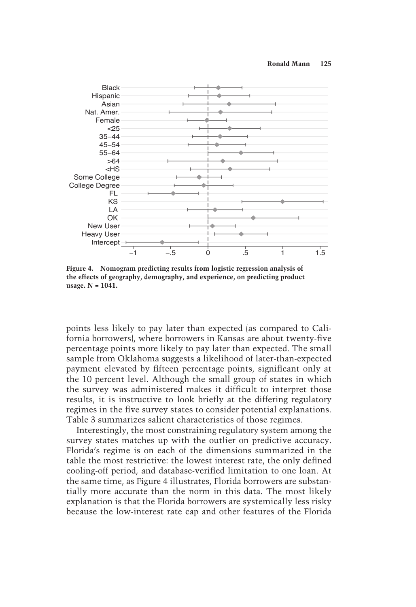

**Figure 4. Nomogram predicting results from logistic regression analysis of the effects of geography, demography, and experience, on predicting product usage. N = 1041.**

points less likely to pay later than expected (as compared to California borrowers), where borrowers in Kansas are about twenty-five percentage points more likely to pay later than expected. The small sample from Oklahoma suggests a likelihood of later-than-expected payment elevated by fifteen percentage points, significant only at the 10 percent level. Although the small group of states in which the survey was administered makes it difficult to interpret those results, it is instructive to look briefly at the differing regulatory regimes in the five survey states to consider potential explanations. Table 3 summarizes salient characteristics of those regimes.

Interestingly, the most constraining regulatory system among the survey states matches up with the outlier on predictive accuracy. Florida's regime is on each of the dimensions summarized in the table the most restrictive: the lowest interest rate, the only defined cooling-off period, and database-verified limitation to one loan. At the same time, as Figure 4 illustrates, Florida borrowers are substantially more accurate than the norm in this data. The most likely explanation is that the Florida borrowers are systemically less risky because the low-interest rate cap and other features of the Florida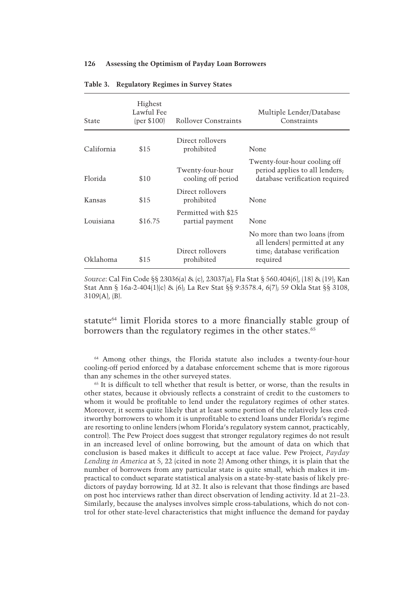| State      | Highest<br>Lawful Fee<br>[per \$100] | <b>Rollover Constraints</b>            | Multiple Lender/Database<br>Constraints                                                                  |
|------------|--------------------------------------|----------------------------------------|----------------------------------------------------------------------------------------------------------|
| California | \$15                                 | Direct rollovers<br>prohibited         | None                                                                                                     |
| Florida    | \$10                                 | Twenty-four-hour<br>cooling off period | Twenty-four-hour cooling off<br>period applies to all lenders,<br>database verification required         |
| Kansas     | \$15                                 | Direct rollovers<br>prohibited         | None                                                                                                     |
| Louisiana  | \$16.75                              | Permitted with \$25<br>partial payment | None                                                                                                     |
| Oklahoma   | \$15                                 | Direct rollovers<br>prohibited         | No more than two loans (from<br>all lenders) permitted at any<br>time, database verification<br>required |

#### **Table 3. Regulatory Regimes in Survey States**

*Source*: Cal Fin Code §§ 23036(a) & (c), 23037(a); Fla Stat § 560.404(6), (18) & (19); Kan Stat Ann § 16a-2-404(1)(c) & (6); La Rev Stat §§ 9:3578.4, 6(7); 59 Okla Stat §§ 3108, 3109(A), (B).

statute<sup>64</sup> limit Florida stores to a more financially stable group of borrowers than the regulatory regimes in the other states.<sup>65</sup>

64 Among other things, the Florida statute also includes a twenty-four-hour cooling-off period enforced by a database enforcement scheme that is more rigorous than any schemes in the other surveyed states.

<sup>65</sup> It is difficult to tell whether that result is better, or worse, than the results in other states, because it obviously reflects a constraint of credit to the customers to whom it would be profitable to lend under the regulatory regimes of other states. Moreover, it seems quite likely that at least some portion of the relatively less creditworthy borrowers to whom it is unprofitable to extend loans under Florida's regime are resorting to online lenders (whom Florida's regulatory system cannot, practicably, control). The Pew Project does suggest that stronger regulatory regimes do not result in an increased level of online borrowing, but the amount of data on which that conclusion is based makes it difficult to accept at face value. Pew Project, *Payday Lending in America* at 5, 22 (cited in note 2) Among other things, it is plain that the number of borrowers from any particular state is quite small, which makes it impractical to conduct separate statistical analysis on a state-by-state basis of likely predictors of payday borrowing. Id at 32. It also is relevant that those findings are based on post hoc interviews rather than direct observation of lending activity. Id at 21–23. Similarly, because the analyses involves simple cross-tabulations, which do not control for other state-level characteristics that might influence the demand for payday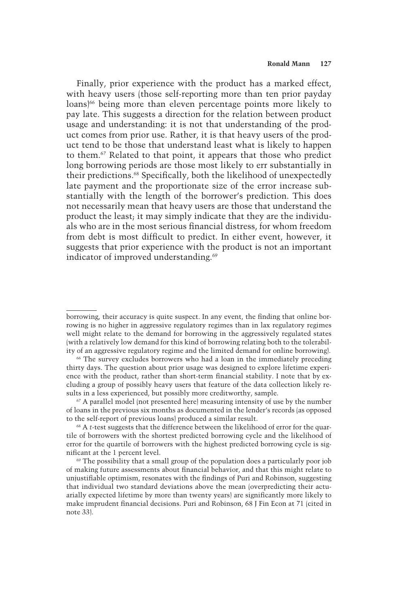Finally, prior experience with the product has a marked effect, with heavy users (those self-reporting more than ten prior payday loans<sup>166</sup> being more than eleven percentage points more likely to pay late. This suggests a direction for the relation between product usage and understanding: it is not that understanding of the product comes from prior use. Rather, it is that heavy users of the product tend to be those that understand least what is likely to happen to them.67 Related to that point, it appears that those who predict long borrowing periods are those most likely to err substantially in their predictions.68 Specifically, both the likelihood of unexpectedly late payment and the proportionate size of the error increase substantially with the length of the borrower's prediction. This does not necessarily mean that heavy users are those that understand the product the least; it may simply indicate that they are the individuals who are in the most serious financial distress, for whom freedom from debt is most difficult to predict. In either event, however, it suggests that prior experience with the product is not an important indicator of improved understanding.<sup>69</sup>

borrowing, their accuracy is quite suspect. In any event, the finding that online borrowing is no higher in aggressive regulatory regimes than in lax regulatory regimes well might relate to the demand for borrowing in the aggressively regulated states (with a relatively low demand for this kind of borrowing relating both to the tolerability of an aggressive regulatory regime and the limited demand for online borrowing).

<sup>66</sup> The survey excludes borrowers who had a loan in the immediately preceding thirty days. The question about prior usage was designed to explore lifetime experience with the product, rather than short-term financial stability. I note that by excluding a group of possibly heavy users that feature of the data collection likely results in a less experienced, but possibly more creditworthy, sample.

<sup>67</sup> A parallel model (not presented here) measuring intensity of use by the number of loans in the previous six months as documented in the lender's records (as opposed to the self-report of previous loans) produced a similar result.

<sup>68</sup> A *t*-test suggests that the difference between the likelihood of error for the quartile of borrowers with the shortest predicted borrowing cycle and the likelihood of error for the quartile of borrowers with the highest predicted borrowing cycle is significant at the 1 percent level.

<sup>69</sup> The possibility that a small group of the population does a particularly poor job of making future assessments about financial behavior, and that this might relate to unjustifiable optimism, resonates with the findings of Puri and Robinson, suggesting that individual two standard deviations above the mean (overpredicting their actuarially expected lifetime by more than twenty years) are significantly more likely to make imprudent financial decisions. Puri and Robinson, 68 J Fin Econ at 71 (cited in note 33).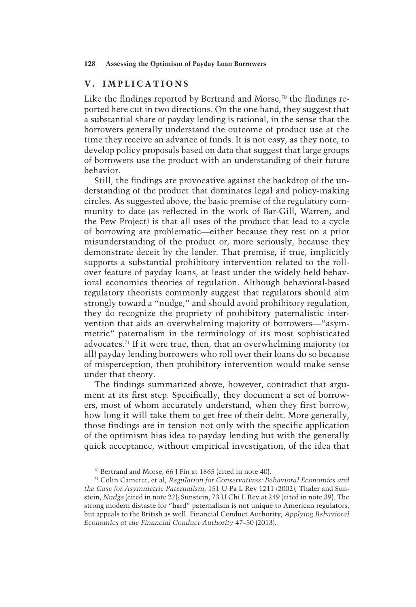# **V . I mplication s**

Like the findings reported by Bertrand and Morse, $\frac{70}{10}$  the findings reported here cut in two directions. On the one hand, they suggest that a substantial share of payday lending is rational, in the sense that the borrowers generally understand the outcome of product use at the time they receive an advance of funds. It is not easy, as they note, to develop policy proposals based on data that suggest that large groups of borrowers use the product with an understanding of their future behavior.

Still, the findings are provocative against the backdrop of the understanding of the product that dominates legal and policy-making circles. As suggested above, the basic premise of the regulatory community to date (as reflected in the work of Bar-Gill, Warren, and the Pew Project) is that all uses of the product that lead to a cycle of borrowing are problematic—either because they rest on a prior misunderstanding of the product or, more seriously, because they demonstrate deceit by the lender. That premise, if true, implicitly supports a substantial prohibitory intervention related to the rollover feature of payday loans, at least under the widely held behavioral economics theories of regulation. Although behavioral-based regulatory theorists commonly suggest that regulators should aim strongly toward a "nudge," and should avoid prohibitory regulation, they do recognize the propriety of prohibitory paternalistic intervention that aids an overwhelming majority of borrowers—"asymmetric" paternalism in the terminology of its most sophisticated advocates.71 If it were true, then, that an overwhelming majority (or all) payday lending borrowers who roll over their loans do so because of misperception, then prohibitory intervention would make sense under that theory.

The findings summarized above, however, contradict that argument at its first step. Specifically, they document a set of borrowers, most of whom accurately understand, when they first borrow, how long it will take them to get free of their debt. More generally, those findings are in tension not only with the specific application of the optimism bias idea to payday lending but with the generally quick acceptance, without empirical investigation, of the idea that

<sup>70</sup> Bertrand and Morse, 66 J Fin at 1865 (cited in note 40).

<sup>71</sup> Colin Camerer, et al, *Regulation for Conservatives: Behavioral Economics and the Case for Asymmetric Paternalism*, 151 U Pa L Rev 1211 (2002); Thaler and Sunstein, *Nudge* (cited in note 22); Sunstein, 73 U Chi L Rev at 249 (cited in note 39). The strong modern distaste for "hard" paternalism is not unique to American regulators, but appeals to the British as well. Financial Conduct Authority, *Applying Behavioral Economics at the Financial Conduct Authority* 47–50 (2013).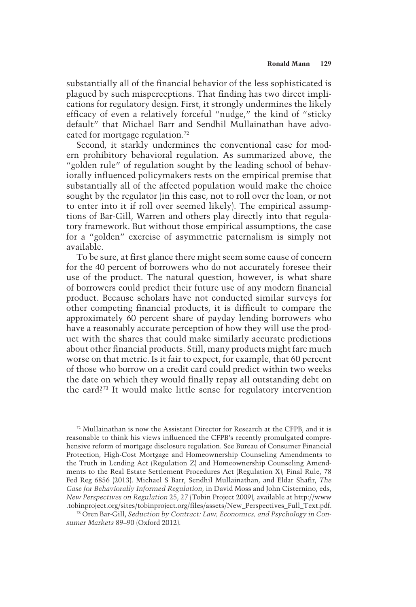substantially all of the financial behavior of the less sophisticated is plagued by such misperceptions. That finding has two direct implications for regulatory design. First, it strongly undermines the likely efficacy of even a relatively forceful "nudge," the kind of "sticky default" that Michael Barr and Sendhil Mullainathan have advocated for mortgage regulation.72

Second, it starkly undermines the conventional case for modern prohibitory behavioral regulation. As summarized above, the "golden rule" of regulation sought by the leading school of behaviorally influenced policymakers rests on the empirical premise that substantially all of the affected population would make the choice sought by the regulator (in this case, not to roll over the loan, or not to enter into it if roll over seemed likely). The empirical assumptions of Bar-Gill, Warren and others play directly into that regulatory framework. But without those empirical assumptions, the case for a "golden" exercise of asymmetric paternalism is simply not available.

To be sure, at first glance there might seem some cause of concern for the 40 percent of borrowers who do not accurately foresee their use of the product. The natural question, however, is what share of borrowers could predict their future use of any modern financial product. Because scholars have not conducted similar surveys for other competing financial products, it is difficult to compare the approximately 60 percent share of payday lending borrowers who have a reasonably accurate perception of how they will use the product with the shares that could make similarly accurate predictions about other financial products. Still, many products might fare much worse on that metric. Is it fair to expect, for example, that 60 percent of those who borrow on a credit card could predict within two weeks the date on which they would finally repay all outstanding debt on the card?73 It would make little sense for regulatory intervention

72 Mullainathan is now the Assistant Director for Research at the CFPB, and it is reasonable to think his views influenced the CFPB's recently promulgated comprehensive reform of mortgage disclosure regulation. See Bureau of Consumer Financial Protection, High-Cost Mortgage and Homeownership Counseling Amendments to the Truth in Lending Act (Regulation Z) and Homeownership Counseling Amendments to the Real Estate Settlement Procedures Act (Regulation X); Final Rule, 78 Fed Reg 6856 (2013). Michael S Barr, Sendhil Mullainathan, and Eldar Shafir, *The Case for Behaviorally Informed Regulation*, in David Moss and John Cisternino, eds, *New Perspectives on Regulation* 25, 27 (Tobin Project 2009), available at http://www .tobinproject.org/sites/tobinproject.org/files/assets/New\_Perspectives\_Full\_Text.pdf.

<sup>73</sup> Oren Bar-Gill, *Seduction by Contract: Law, Economics, and Psychology in Consumer Markets* 89–90 (Oxford 2012).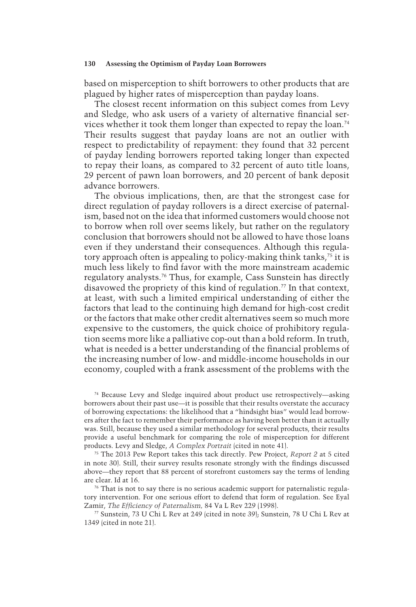based on misperception to shift borrowers to other products that are plagued by higher rates of misperception than payday loans.

The closest recent information on this subject comes from Levy and Sledge, who ask users of a variety of alternative financial services whether it took them longer than expected to repay the loan.74 Their results suggest that payday loans are not an outlier with respect to predictability of repayment: they found that 32 percent of payday lending borrowers reported taking longer than expected to repay their loans, as compared to 32 percent of auto title loans, 29 percent of pawn loan borrowers, and 20 percent of bank deposit advance borrowers.

The obvious implications, then, are that the strongest case for direct regulation of payday rollovers is a direct exercise of paternalism, based not on the idea that informed customers would choose not to borrow when roll over seems likely, but rather on the regulatory conclusion that borrowers should not be allowed to have those loans even if they understand their consequences. Although this regulatory approach often is appealing to policy-making think tanks,<sup>75</sup> it is much less likely to find favor with the more mainstream academic regulatory analysts.76 Thus, for example, Cass Sunstein has directly disavowed the propriety of this kind of regulation.77 In that context, at least, with such a limited empirical understanding of either the factors that lead to the continuing high demand for high-cost credit or the factors that make other credit alternatives seem so much more expensive to the customers, the quick choice of prohibitory regulation seems more like a palliative cop-out than a bold reform. In truth, what is needed is a better understanding of the financial problems of the increasing number of low- and middle-income households in our economy, coupled with a frank assessment of the problems with the

74 Because Levy and Sledge inquired about product use retrospectively—asking borrowers about their past use—it is possible that their results overstate the accuracy of borrowing expectations: the likelihood that a "hindsight bias" would lead borrowers after the fact to remember their performance as having been better than it actually was. Still, because they used a similar methodology for several products, their results provide a useful benchmark for comparing the role of misperception for different products. Levy and Sledge, *A Complex Portrait* (cited in note 41).

75 The 2013 Pew Report takes this tack directly. Pew Project, *Report 2* at 5 cited in note 30). Still, their survey results resonate strongly with the findings discussed above—they report that 88 percent of storefront customers say the terms of lending are clear. Id at 16.

 $76$  That is not to say there is no serious academic support for paternalistic regulatory intervention. For one serious effort to defend that form of regulation. See Eyal Zamir, *The Efficiency of Paternalism,* 84 Va L Rev 229 (1998).

77 Sunstein, 73 U Chi L Rev at 249 (cited in note 39); Sunstein, 78 U Chi L Rev at 1349 (cited in note 21).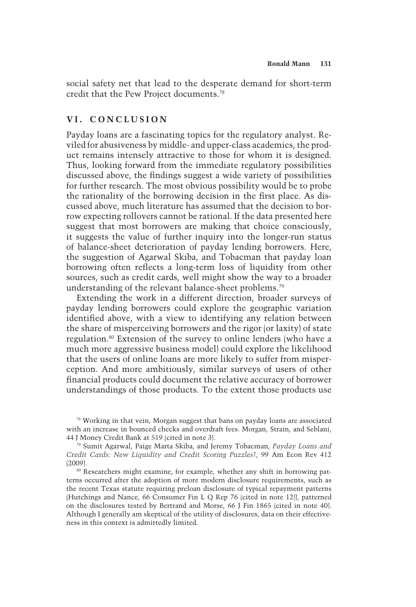social safety net that lead to the desperate demand for short-term credit that the Pew Project documents.78

## **V I . C onclu s ion**

Payday loans are a fascinating topics for the regulatory analyst. Reviled for abusiveness by middle- and upper-class academics, the product remains intensely attractive to those for whom it is designed. Thus, looking forward from the immediate regulatory possibilities discussed above, the findings suggest a wide variety of possibilities for further research. The most obvious possibility would be to probe the rationality of the borrowing decision in the first place. As discussed above, much literature has assumed that the decision to borrow expecting rollovers cannot be rational. If the data presented here suggest that most borrowers are making that choice consciously, it suggests the value of further inquiry into the longer-run status of balance-sheet deterioration of payday lending borrowers. Here, the suggestion of Agarwal Skiba, and Tobacman that payday loan borrowing often reflects a long-term loss of liquidity from other sources, such as credit cards, well might show the way to a broader understanding of the relevant balance-sheet problems.79

Extending the work in a different direction, broader surveys of payday lending borrowers could explore the geographic variation identified above, with a view to identifying any relation between the share of misperceiving borrowers and the rigor (or laxity) of state regulation.80 Extension of the survey to online lenders (who have a much more aggressive business model) could explore the likelihood that the users of online loans are more likely to suffer from misperception. And more ambitiously, similar surveys of users of other financial products could document the relative accuracy of borrower understandings of those products. To the extent those products use

 $78$  Working in that vein, Morgan suggest that bans on payday loans are associated with an increase in bounced checks and overdraft fees. Morgan, Strain, and Seblani, 44 J Money Credit Bank at 519 (cited in note 3).

<sup>79</sup> Sumit Agarwal, Paige Marta Skiba, and Jeremy Tobacman, *Payday Loans and Credit Cards: New Liquidity and Credit Scoring Puzzles*?, 99 Am Econ Rev 412 (2009).

<sup>80</sup> Researchers might examine, for example, whether any shift in borrowing patterns occurred after the adoption of more modern disclosure requirements, such as the recent Texas statute requiring preloan disclosure of typical repayment patterns (Hutchings and Nance, 66 Consumer Fin L Q Rep 76 (cited in note 12)), patterned on the disclosures tested by Bertrand and Morse, 66 J Fin 1865 (cited in note 40). Although I generally am skeptical of the utility of disclosures, data on their effectiveness in this context is admittedly limited.